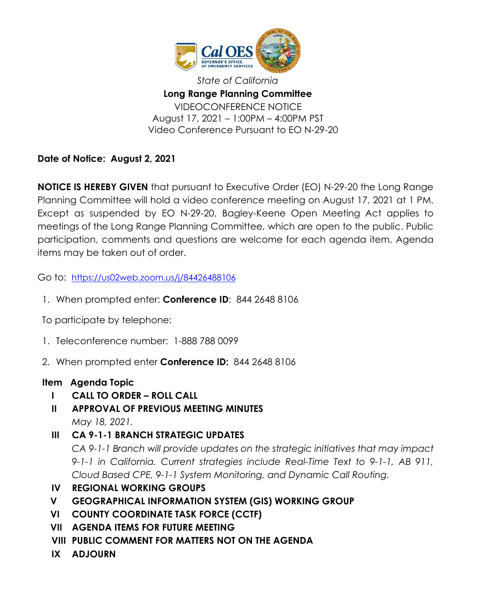

*State of California* **Long Range Planning Committee** VIDEOCONFERENCE NOTICE August 17, 2021 – 1:00PM – 4:00PM PST Video Conference Pursuant to EO N-29-20

**Date of Notice: August 2, 2021**

**NOTICE IS HEREBY GIVEN** that pursuant to Executive Order (EO) N-29-20 the Long Range Planning Committee will hold a video conference meeting on August 17, 2021 at 1 PM. Except as suspended by EO N-29-20, Bagley-Keene Open Meeting Act applies to meetings of the Long Range Planning Committee, which are open to the public. Public participation, comments and questions are welcome for each agenda item. Agenda items may be taken out of order.

Go to: <https://us02web.zoom.us/j/84426488106>

1. When prompted enter: **Conference ID**: 844 2648 8106

To participate by telephone:

- 1. Teleconference number: 1-888 788 0099
- 2. When prompted enter **Conference ID:** 844 2648 8106

## **Item Agenda Topic**

- **I CALL TO ORDER – ROLL CALL**
- **II APPROVAL OF PREVIOUS MEETING MINUTES** *May 18, 2021.*
- **III CA 9-1-1 BRANCH STRATEGIC UPDATES** *CA 9-1-1 Branch will provide updates on the strategic initiatives that may impact 9-1-1 in California. Current strategies include Real-Time Text to 9-1-1, AB 911, Cloud Based CPE, 9-1-1 System Monitoring, and Dynamic Call Routing.*
- **IV REGIONAL WORKING GROUPS**
- **V GEOGRAPHICAL INFORMATION SYSTEM (GIS) WORKING GROUP**
- **VI COUNTY COORDINATE TASK FORCE (CCTF)**
- **VII AGENDA ITEMS FOR FUTURE MEETING**
- **VIII PUBLIC COMMENT FOR MATTERS NOT ON THE AGENDA**
- **IX ADJOURN**